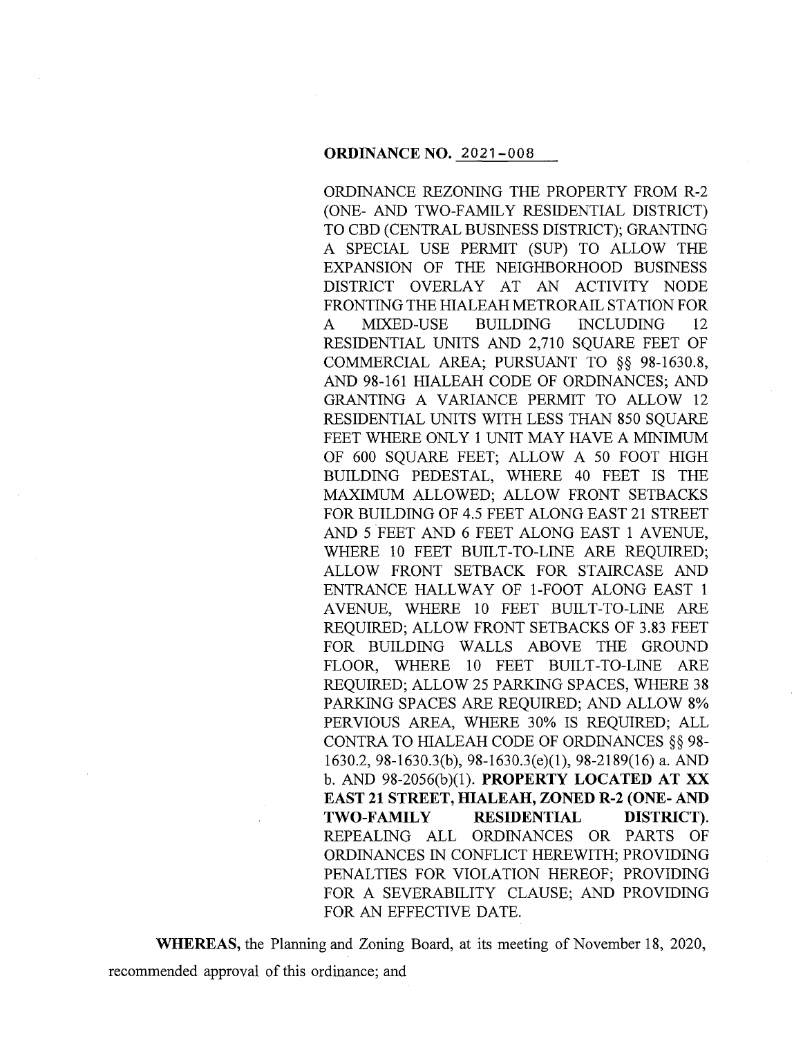ORDINANCE REZONING THE PROPERTY FROM R-2 (ONE- AND TWO-FAMILY RESIDENTIAL DISTRICT) TO CBD (CENTRAL BUSINESS DISTRICT); GRANTING A SPECIAL USE PERMIT (SUP) TO ALLOW THE EXPANSION OF THE NEIGHBORHOOD BUSINESS DISTRICT OVERLAY AT AN ACTIVITY NODE FRONTING THE HIALEAH METRORAIL STATION FOR A MIXED-USE BUILDING INCLUDING 12 RESIDENTIAL UNITS AND 2,710 SQUARE FEET OF COMMERCIAL AREA; PURSUANT TO §§ 98-1630.8, AND 98-161 HIALEAH CODE OF ORDINANCES; AND GRANTING A VARIANCE PERMIT TO ALLOW 12 RESIDENTIAL UNITS WITH LESS THAN 850 SQUARE FEET WHERE ONLY 1 UNIT MAY HAVE A MINIMUM OF 600 SQUARE FEET; ALLOW A 50 FOOT HIGH BUILDING PEDESTAL, WHERE 40 FEET IS THE MAXIMUM ALLOWED; ALLOW FRONT SETBACKS FOR BUILDING OF 4.5 FEET ALONG EAST 21 STREET AND 5 FEET AND 6 FEET ALONG EAST 1 AVENUE, WHERE 10 FEET BUILT-TO-LINE ARE REQUIRED; ALLOW FRONT SETBACK FOR STAIRCASE AND ENTRANCE HALLWAY OF 1-FOOT ALONG EAST 1 A VENUE, WHERE 10 FEET BUILT-TO-LINE ARE REQUIRED; ALLOW FRONT SETBACKS OF 3.83 FEET FOR BUILDING WALLS ABOVE THE GROUND FLOOR, WHERE 10 FEET BUILT-TO-LINE ARE REQUIRED; ALLOW 25 PARKING SPACES, WHERE 38 PARKING SPACES ARE REQUIRED; AND ALLOW 8% PERVIOUS AREA, WHERE 30% IS REQUIRED; ALL CONTRA TO HIALEAH CODE OF ORDINANCES §§ 98- 1630.2, 98-1630.3(b), 98-1630.3(e)(l), 98-2189(16) a. AND b. AND 98-2056(b)(l). **PROPERTY LOCATED AT XX EAST 21 STREET, HIALEAH, ZONED R-2 (ONE- AND TWO-FAMILY RESIDENTIAL DISTRICT).**  REPEALING ALL ORDINANCES OR PARTS OF ORDINANCES IN CONFLICT HEREWITH; PROVIDING PENALTIES FOR VIOLATION HEREOF; PROVIDING FOR A SEVERABILITY CLAUSE; AND PROVIDING FOR AN EFFECTIVE DATE.

**WHEREAS,** the Planning and Zoning Board, at its meeting of November 18, 2020, recommended approval of this ordinance; and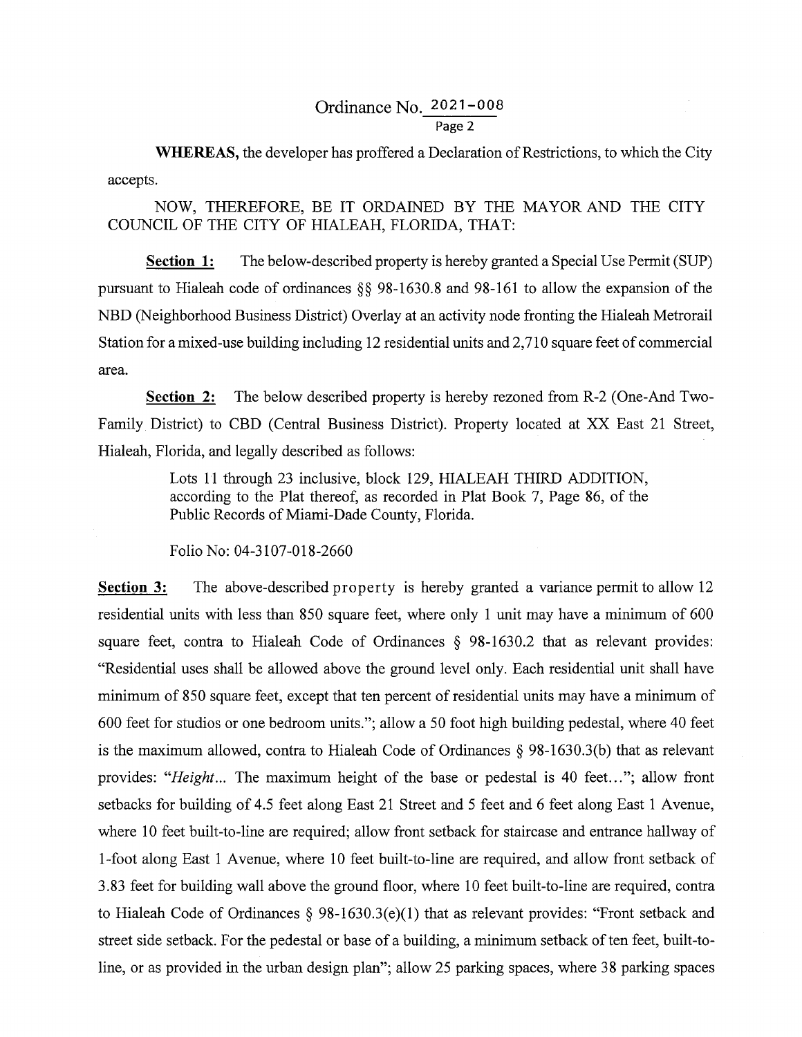# Ordinance No. 2021-008 Page 2

**WHEREAS,** the developer has proffered a Declaration of Restrictions, to which the City accepts.

NOW, THEREFORE, BE IT ORDAINED BY THE MAYOR AND THE CITY COUNCIL OF THE CITY OF HIALEAH, FLORIDA, THAT:

**Section 1:** The below-described property is hereby granted a Special Use Permit (SUP) pursuant to Hialeah code of ordinances §§ 98-1630.8 and 98-161 to allow the expansion of the NBD (Neighborhood Business District) Overlay at an activity node fronting the Hialeah Metrorail Station for a mixed-use building including 12 residential units and 2, 710 square feet of commercial area.

**Section 2:** The below described property is hereby rezoned from R-2 (One-And Two-Family District) to CBD (Central Business District). Property located at XX East 21 Street, Hialeah, Florida, and legally described as follows:

> Lots 11 through 23 inclusive, block 129, HIALEAH THIRD ADDITION, according to the Plat thereof, as recorded in Plat Book 7, Page 86, of the Public Records of Miami-Dade County, Florida.

Folio No: 04-3107-018-2660

**Section 3:**  The above-described property is hereby granted a variance permit to allow 12 residential units with less than 850 square feet, where only 1 unit may have a minimum of 600 square feet, contra to Hialeah Code of Ordinances § 98-1630.2 that as relevant provides: "Residential uses shall be allowed above the ground level only. Each residential unit shall have minimum of 850 square feet, except that ten percent of residential units may have a minimum of 600 feet for studios or one bedroom units."; allow a 50 foot high building pedestal, where 40 feet is the maximum allowed, contra to Hialeah Code of Ordinances § 98-1630.3(b) that as relevant provides: "Height... The maximum height of the base or pedestal is 40 feet..."; allow front setbacks for building of 4.5 feet along East 21 Street and 5 feet and 6 feet along East 1 Avenue, where 10 feet built-to-line are required; allow front setback for staircase and entrance hallway of I-foot along East 1 Avenue, where 10 feet built-to-line are required, and allow front setback of 3.83 feet for building wall above the ground floor, where 10 feet built-to-line are required, contra to Hialeah Code of Ordinances § 98-1630.3(e)(l) that as relevant provides: "Front setback and street side setback. For the pedestal or base of a building, a minimum setback of ten feet, built-toline, or as provided in the urban design plan"; allow 25 parking spaces, where 38 parking spaces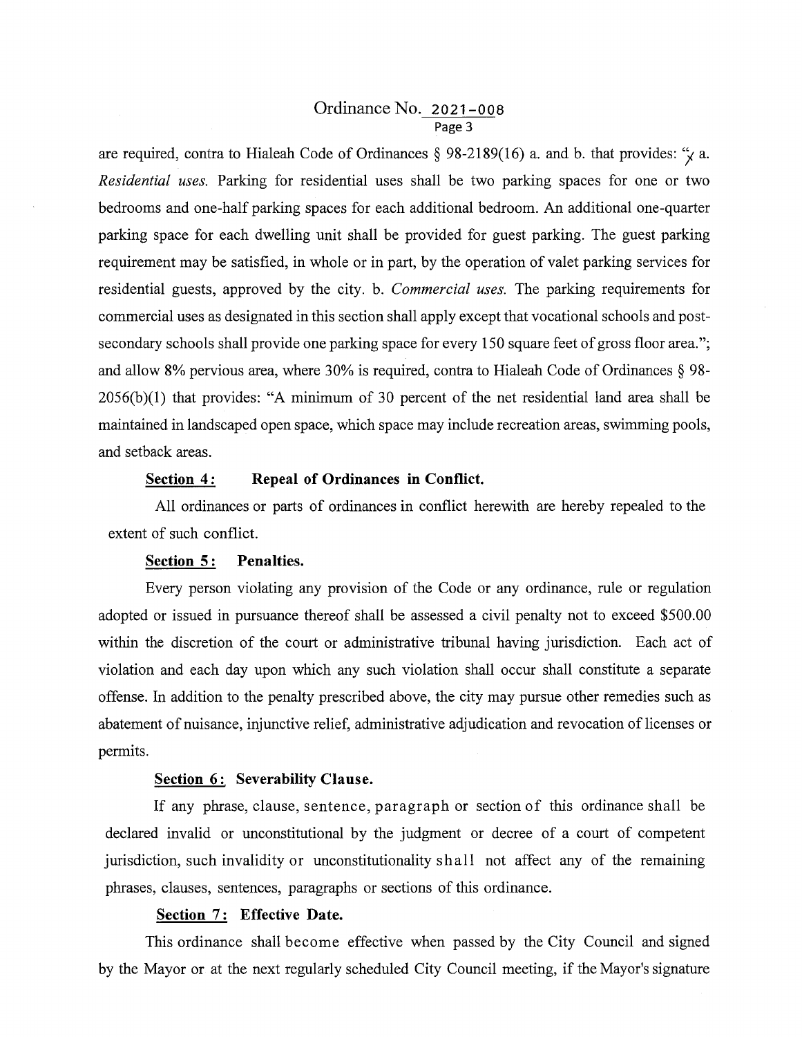## Ordinance No. 2021-oos Page 3

are required, contra to Hialeah Code of Ordinances § 98-2189(16) a. and b. that provides: " $\chi$  a. *Residential uses.* Parking for residential uses shall be two parking spaces for one or two bedrooms and one-half parking spaces for each additional bedroom. An additional one-quarter parking space for each dwelling unit shall be provided for guest parking. The guest parking requirement may be satisfied, in whole or in part, by the operation of valet parking services for residential guests, approved by the city. b. *Commercial uses.* The parking requirements for commercial uses as designated in this section shall apply except that vocational schools and postsecondary schools shall provide one parking space for every 150 square feet of gross floor area."; and allow 8% pervious area, where 30% is required, contra to Hialeah Code of Ordinances § 98-  $2056(b)(1)$  that provides: "A minimum of 30 percent of the net residential land area shall be maintained in landscaped open space, which space may include recreation areas, swimming pools, and setback areas.

## **Section 4: Repeal of Ordinances in Conflict.**

All ordinances or parts of ordinances in conflict herewith are hereby repealed to the extent of such conflict.

#### **Section 5: Penalties.**

Every person violating any provision of the Code or any ordinance, rule or regulation adopted or issued in pursuance thereof shall be assessed a civil penalty not to exceed \$500.00 within the discretion of the court or administrative tribunal having jurisdiction. Each act of violation and each day upon which any such violation shall occur shall constitute a separate offense. In addition to the penalty prescribed above, the city may pursue other remedies such as abatement of nuisance, injunctive relief, administrative adjudication and revocation of licenses or permits.

### **Section 6: Severability Clause.**

If any phrase, clause, sentence, paragraph or section of this ordinance shall be declared invalid or unconstitutional by the judgment or decree of a court of competent jurisdiction, such invalidity or unconstitutionality shall not affect any of the remaining phrases, clauses, sentences, paragraphs or sections of this ordinance.

## **Section 7: Effective Date.**

This ordinance shall become effective when passed by the City Council and signed by the Mayor or at the next regularly scheduled City Council meeting, if the Mayor's signature